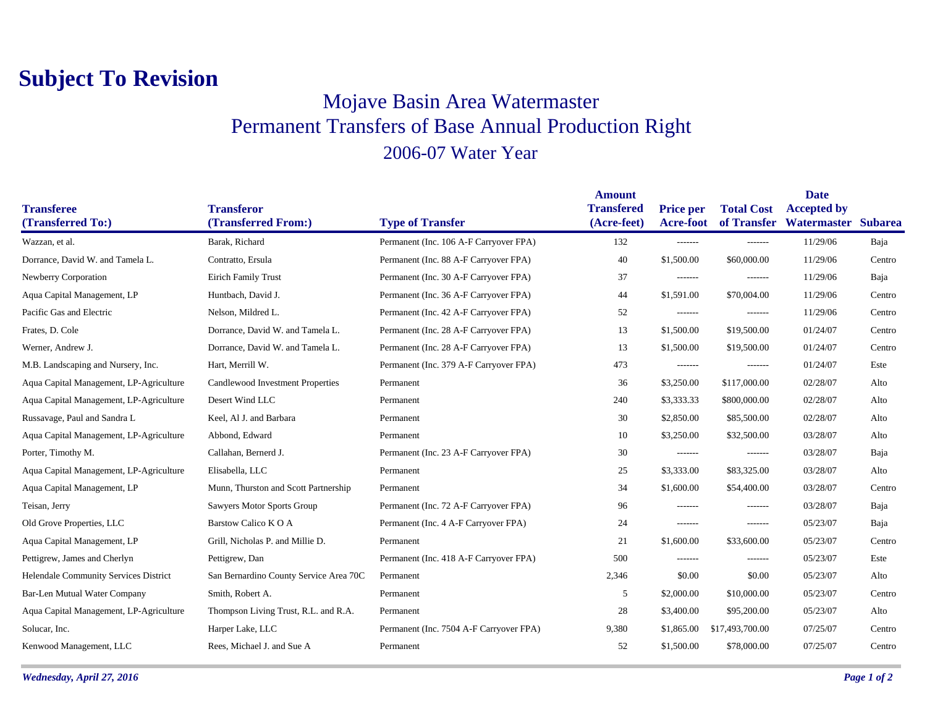## **Subject To Revision**

## Mojave Basin Area Watermaster Permanent Transfers of Base Annual Production Right 2006-07 Water Year

|                                         |                                          |                                         | <b>Amount</b>                    |                                      |                   | <b>Date</b>                                           |        |
|-----------------------------------------|------------------------------------------|-----------------------------------------|----------------------------------|--------------------------------------|-------------------|-------------------------------------------------------|--------|
| <b>Transferee</b><br>(Transferred To:)  | <b>Transferor</b><br>(Transferred From:) | <b>Type of Transfer</b>                 | <b>Transfered</b><br>(Acre-feet) | <b>Price per</b><br><b>Acre-foot</b> | <b>Total Cost</b> | <b>Accepted by</b><br>of Transfer Watermaster Subarea |        |
| Wazzan, et al.                          | Barak, Richard                           | Permanent (Inc. 106 A-F Carryover FPA)  | 132                              | -------                              | -------           | 11/29/06                                              | Baja   |
| Dorrance, David W. and Tamela L.        | Contratto, Ersula                        | Permanent (Inc. 88 A-F Carryover FPA)   | 40                               | \$1,500.00                           | \$60,000.00       | 11/29/06                                              | Centro |
|                                         |                                          |                                         |                                  |                                      |                   |                                                       |        |
| Newberry Corporation                    | <b>Eirich Family Trust</b>               | Permanent (Inc. 30 A-F Carryover FPA)   | 37                               | -------                              | -------           | 11/29/06                                              | Baja   |
| Aqua Capital Management, LP             | Huntbach, David J.                       | Permanent (Inc. 36 A-F Carryover FPA)   | 44                               | \$1,591.00                           | \$70,004.00       | 11/29/06                                              | Centro |
| Pacific Gas and Electric                | Nelson, Mildred L.                       | Permanent (Inc. 42 A-F Carryover FPA)   | 52                               | -------                              | -------           | 11/29/06                                              | Centro |
| Frates, D. Cole                         | Dorrance, David W. and Tamela L.         | Permanent (Inc. 28 A-F Carryover FPA)   | 13                               | \$1,500.00                           | \$19,500.00       | 01/24/07                                              | Centro |
| Werner, Andrew J.                       | Dorrance, David W. and Tamela L.         | Permanent (Inc. 28 A-F Carryover FPA)   | 13                               | \$1,500.00                           | \$19,500.00       | 01/24/07                                              | Centro |
| M.B. Landscaping and Nursery, Inc.      | Hart, Merrill W.                         | Permanent (Inc. 379 A-F Carryover FPA)  | 473                              | -------                              | -------           | 01/24/07                                              | Este   |
| Aqua Capital Management, LP-Agriculture | Candlewood Investment Properties         | Permanent                               | 36                               | \$3,250.00                           | \$117,000.00      | 02/28/07                                              | Alto   |
| Aqua Capital Management, LP-Agriculture | Desert Wind LLC                          | Permanent                               | 240                              | \$3,333.33                           | \$800,000.00      | 02/28/07                                              | Alto   |
| Russavage, Paul and Sandra L            | Keel, Al J. and Barbara                  | Permanent                               | 30                               | \$2,850.00                           | \$85,500.00       | 02/28/07                                              | Alto   |
| Aqua Capital Management, LP-Agriculture | Abbond, Edward                           | Permanent                               | 10                               | \$3,250.00                           | \$32,500.00       | 03/28/07                                              | Alto   |
| Porter, Timothy M.                      | Callahan, Bernerd J.                     | Permanent (Inc. 23 A-F Carryover FPA)   | 30                               | -------                              | $- - - - - - -$   | 03/28/07                                              | Baja   |
| Aqua Capital Management, LP-Agriculture | Elisabella, LLC                          | Permanent                               | 25                               | \$3,333.00                           | \$83,325.00       | 03/28/07                                              | Alto   |
| Aqua Capital Management, LP             | Munn, Thurston and Scott Partnership     | Permanent                               | 34                               | \$1,600.00                           | \$54,400.00       | 03/28/07                                              | Centro |
| Teisan, Jerry                           | Sawyers Motor Sports Group               | Permanent (Inc. 72 A-F Carryover FPA)   | 96                               | -------                              | -------           | 03/28/07                                              | Baja   |
| Old Grove Properties, LLC               | Barstow Calico KOA                       | Permanent (Inc. 4 A-F Carryover FPA)    | 24                               | -------                              | $- - - - - - -$   | 05/23/07                                              | Baja   |
| Aqua Capital Management, LP             | Grill, Nicholas P. and Millie D.         | Permanent                               | 21                               | \$1,600.00                           | \$33,600.00       | 05/23/07                                              | Centro |
| Pettigrew, James and Cherlyn            | Pettigrew, Dan                           | Permanent (Inc. 418 A-F Carryover FPA)  | 500                              | -------                              | -------           | 05/23/07                                              | Este   |
| Helendale Community Services District   | San Bernardino County Service Area 70C   | Permanent                               | 2,346                            | \$0.00                               | \$0.00            | 05/23/07                                              | Alto   |
| <b>Bar-Len Mutual Water Company</b>     | Smith, Robert A.                         | Permanent                               | 5                                | \$2,000.00                           | \$10,000.00       | 05/23/07                                              | Centro |
| Aqua Capital Management, LP-Agriculture | Thompson Living Trust, R.L. and R.A.     | Permanent                               | 28                               | \$3,400.00                           | \$95,200.00       | 05/23/07                                              | Alto   |
| Solucar, Inc.                           | Harper Lake, LLC                         | Permanent (Inc. 7504 A-F Carryover FPA) | 9,380                            | \$1,865.00                           | \$17,493,700.00   | 07/25/07                                              | Centro |
| Kenwood Management, LLC                 | Rees, Michael J. and Sue A               | Permanent                               | 52                               | \$1,500.00                           | \$78,000.00       | 07/25/07                                              | Centro |